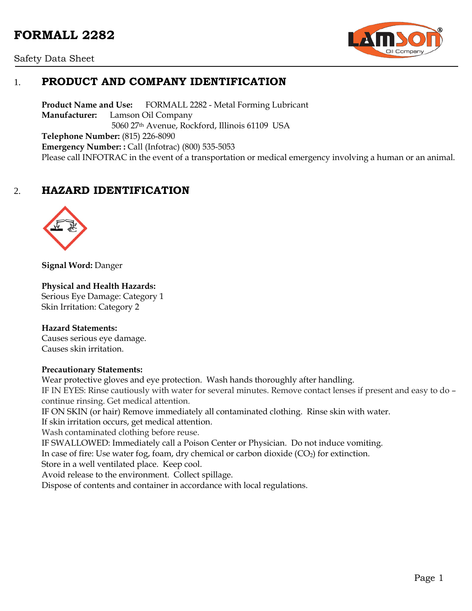# **FORMALL 2282**





## 1. **PRODUCT AND COMPANY IDENTIFICATION**

**Product Name and Use:** FORMALL 2282 - Metal Forming Lubricant **Manufacturer:** Lamson Oil Company 5060 27th Avenue, Rockford, Illinois 61109 USA **Telephone Number:** (815) 226-8090 **Emergency Number: :** Call (Infotrac) (800) 535-5053 Please call INFOTRAC in the event of a transportation or medical emergency involving a human or an animal.

## 2. **HAZARD IDENTIFICATION**



**Signal Word:** Danger

#### **Physical and Health Hazards:**

Serious Eye Damage: Category 1 Skin Irritation: Category 2

#### **Hazard Statements:**

Causes serious eye damage. Causes skin irritation.

#### **Precautionary Statements:**

Wear protective gloves and eye protection. Wash hands thoroughly after handling. IF IN EYES: Rinse cautiously with water for several minutes. Remove contact lenses if present and easy to do – continue rinsing. Get medical attention. IF ON SKIN (or hair) Remove immediately all contaminated clothing. Rinse skin with water.

If skin irritation occurs, get medical attention.

Wash contaminated clothing before reuse.

IF SWALLOWED: Immediately call a Poison Center or Physician. Do not induce vomiting.

In case of fire: Use water fog, foam, dry chemical or carbon dioxide  $(CO<sub>2</sub>)$  for extinction.

Store in a well ventilated place. Keep cool.

Avoid release to the environment. Collect spillage.

Dispose of contents and container in accordance with local regulations.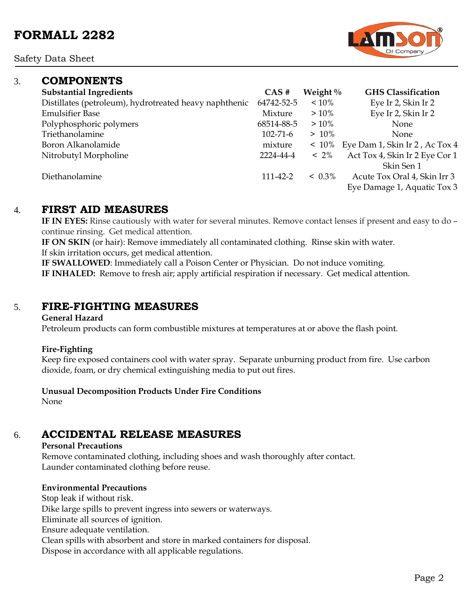Safety Data Sheet

### 3. **COMPONENTS**

| <b>Substantial Ingredients</b>                         | CAS#           | Weight $\%$ | <b>GHS Classification</b>      |
|--------------------------------------------------------|----------------|-------------|--------------------------------|
| Distillates (petroleum), hydrotreated heavy naphthenic | 64742-52-5     | $~10\%$     | Eye Ir 2, Skin Ir 2            |
| <b>Emulsifier Base</b>                                 | Mixture        | $>10\%$     | Eye Ir 2, Skin Ir 2            |
| Polyphosphoric polymers                                | 68514-88-5     | $>10\%$     | <b>None</b>                    |
| Triethanolamine                                        | $102 - 71 - 6$ | $>10\%$     | <b>None</b>                    |
| Boron Alkanolamide                                     | mixture        | $~10\%$     | Eye Dam 1, Skin Ir 2, Ac Tox 4 |
| Nitrobutyl Morpholine                                  | 2224-44-4      | $~12\%$     | Act Tox 4, Skin Ir 2 Eye Cor 1 |
|                                                        |                |             | Skin Sen 1                     |
| Diethanolamine                                         | 111-42-2       | $< 0.3\%$   | Acute Tox Oral 4, Skin Irr 3   |
|                                                        |                |             | Eye Damage 1, Aquatic Tox 3    |
|                                                        |                |             |                                |

### 4. **FIRST AID MEASURES**

**IF IN EYES:** Rinse cautiously with water for several minutes. Remove contact lenses if present and easy to do – continue rinsing. Get medical attention.

**IF ON SKIN** (or hair): Remove immediately all contaminated clothing. Rinse skin with water. If skin irritation occurs, get medical attention.

**IF SWALLOWED**: Immediately call a Poison Center or Physician. Do not induce vomiting. **IF INHALED:** Remove to fresh air; apply artificial respiration if necessary. Get medical attention.

### 5. **FIRE-FIGHTING MEASURES**

#### **General Hazard**

Petroleum products can form combustible mixtures at temperatures at or above the flash point.

#### **Fire-Fighting**

Keep fire exposed containers cool with water spray. Separate unburning product from fire. Use carbon dioxide, foam, or dry chemical extinguishing media to put out fires.

#### **Unusual Decomposition Products Under Fire Conditions**

None

## 6. **ACCIDENTAL RELEASE MEASURES**

#### **Personal Precautions**

Remove contaminated clothing, including shoes and wash thoroughly after contact. Launder contaminated clothing before reuse.

### **Environmental Precautions**

Stop leak if without risk. Dike large spills to prevent ingress into sewers or waterways. Eliminate all sources of ignition. Ensure adequate ventilation. Clean spills with absorbent and store in marked containers for disposal. Dispose in accordance with all applicable regulations.

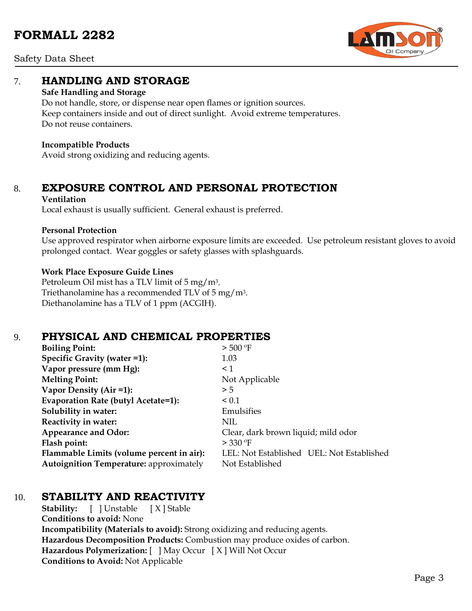

Safety Data Sheet

## 7. **HANDLING AND STORAGE**

#### **Safe Handling and Storage**

Do not handle, store, or dispense near open flames or ignition sources. Keep containers inside and out of direct sunlight. Avoid extreme temperatures. Do not reuse containers.

#### **Incompatible Products**

Avoid strong oxidizing and reducing agents.

# 8. **EXPOSURE CONTROL AND PERSONAL PROTECTION**

#### **Ventilation**

Local exhaust is usually sufficient. General exhaust is preferred.

#### **Personal Protection**

Use approved respirator when airborne exposure limits are exceeded. Use petroleum resistant gloves to avoid prolonged contact. Wear goggles or safety glasses with splashguards.

#### **Work Place Exposure Guide Lines**

Petroleum Oil mist has a TLV limit of 5 mg/m3. Triethanolamine has a recommended TLV of 5 mg/m3. Diethanolamine has a TLV of 1 ppm (ACGIH).

## 9. **PHYSICAL AND CHEMICAL PROPERTIES**

| <b>Boiling Point:</b>                          | $>$ 500 °F                                |  |  |
|------------------------------------------------|-------------------------------------------|--|--|
| Specific Gravity (water =1):                   | 1.03                                      |  |  |
| Vapor pressure (mm Hg):                        | $\leq 1$                                  |  |  |
| <b>Melting Point:</b>                          | Not Applicable                            |  |  |
| Vapor Density (Air =1):                        | > 5                                       |  |  |
| Evaporation Rate (butyl Acetate=1):            | ${}_{0.1}$                                |  |  |
| Solubility in water:                           | Emulsifies                                |  |  |
| Reactivity in water:                           | NIL                                       |  |  |
| <b>Appearance and Odor:</b>                    | Clear, dark brown liquid; mild odor       |  |  |
| Flash point:                                   | $>$ 330 °F                                |  |  |
| Flammable Limits (volume percent in air):      | LEL: Not Established UEL: Not Established |  |  |
| <b>Autoignition Temperature: approximately</b> | Not Established                           |  |  |

## 10. **STABILITY AND REACTIVITY**

**Stability:** [ ] Unstable [ X ] Stable **Conditions to avoid:** None **Incompatibility (Materials to avoid):** Strong oxidizing and reducing agents. **Hazardous Decomposition Products:** Combustion may produce oxides of carbon. **Hazardous Polymerization:** [ ] May Occur [ X ] Will Not Occur **Conditions to Avoid:** Not Applicable